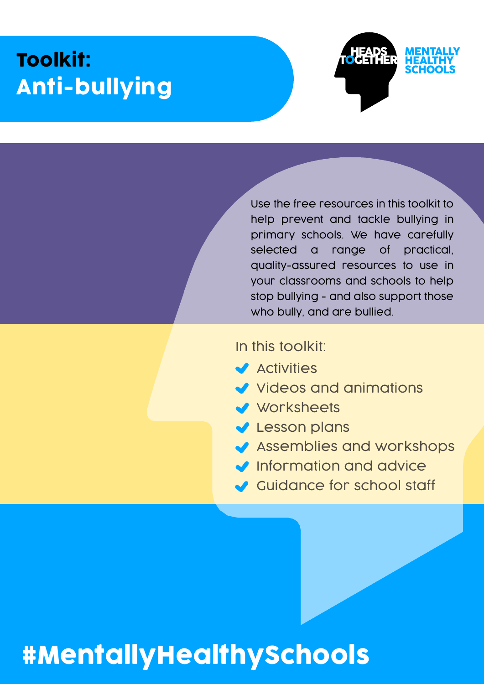## Toolkit: Anti-bullying



Use the free resources in this toolkit to help prevent and tackle bullying in primary schools. We have carefully selected a range of practical, quality-assured resources to use in your classrooms and schools to help stop bullying - and also support those who bully, and are bullied.

#### In this toolkit:

- $\blacktriangleright$  Activities
- Videos and animations
- Worksheets
- **V** Lesson plans
- Assemblies and workshops
- Information and advice
- Guidance for school staff

# [#MentallyHealthySchools](https://www.mentallyhealthyschools.org.uk?pdf=anti-bullying-toolkit)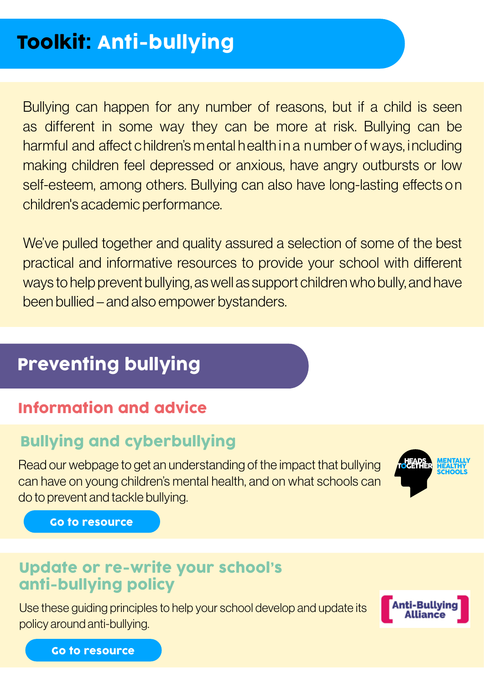Bullying can happen for any number of reasons, but if a child is seen as different in some way they can be more at risk. Bullying can be harmful and affect c hildren's m ental h ealth in a n umber of w ays, including making children feel depressed or anxious, have angry outbursts or low self-esteem, among others. Bullying can also have long-lasting effects on children's academic performance.

We've pulled together and quality assured a selection of some of the best practical and informative resources to provide your school with different ways to help prevent bullying, as well as support children who bully, and have been bullied – and also empower bystanders.

## Preventing bullying

#### Information and advice

#### Bullying and cyberbullying

Read our webpage to get an understanding of the impact that bullying can have on young children's mental health, and on what schools can do to prevent and tackle bullying.



[Go to resource](https://www.mentallyhealthyschools.org.uk/risks-and-protective-factors/bullying-and-cyberbullying?pdf=anti-bullying-toolkit)

#### Update or re-write your school's anti-bullying policy

Use these guiding principles to help your school develop and update its policy around anti-bullying.



[Go to resource](https://www.mentallyhealthyschools.org.uk/resources/writing-or-updating-your-schools-anti-bullying-policy?pdf=anti-bullying-toolkit)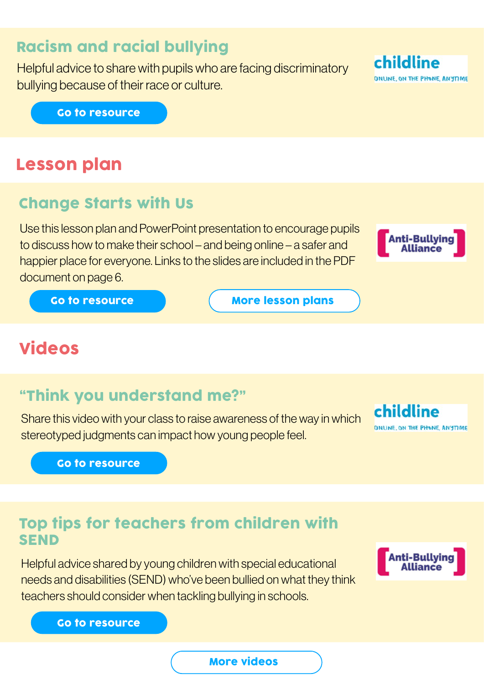#### Racism and racial bullying

Helpful advice to share with pupils who are facing discriminatory bullying because of their race or culture.

[Go to resource](https://www.mentallyhealthyschools.org.uk/resources/childline-racism?pdf=anti-bullying-toolkit)

#### Lesson plan

#### Change Starts with Us

Use this lesson plan and PowerPoint presentation to encourage pupils to discuss how to make their school – and being online – a safer and happier place for everyone. Links to the slides are included in the PDF document on page 6.



[Go to resource](https://www.mentallyhealthyschools.org.uk/resources/anti-bullying-week-primary-school-pack-change-starts-with-us?pdf=anti-bullying-toolkit)

[More lesson plans](https://www.mentallyhealthyschools.org.uk/resources/?ResourceType=LessonPlans?pdf=anti-bullying-toolkit)

### Videos

#### "Think you understand me?"

Share this video with your class to raise awareness of the way in which stereotyped judgments can impact how young people feel.

[Go to resource](https://www.mentallyhealthyschools.org.uk/resources/think-you-understand-me?pdf=anti-bullying-toolkit)

#### Top tips for teachers from children with SEND

Helpful advice shared by young children with special educational needs and disabilities (SEND) who've been bullied on what they think teachers should consider when tackling bullying in schools.



childline

ONLINE, ON THE PHONE, ANYTIME

[Go to resource](https://www.mentallyhealthyschools.org.uk/resources/top-tips-for-teachers-from-young-people-with-send?pdf=anti-bullying-toolkit)

#### [More videos](https://www.mentallyhealthyschools.org.uk/resources/?ResourceFormat=Videoanimation?pdf=anti-bullying-toolkit)



ONLINE, ON THE PHONE, ANYTIME

childline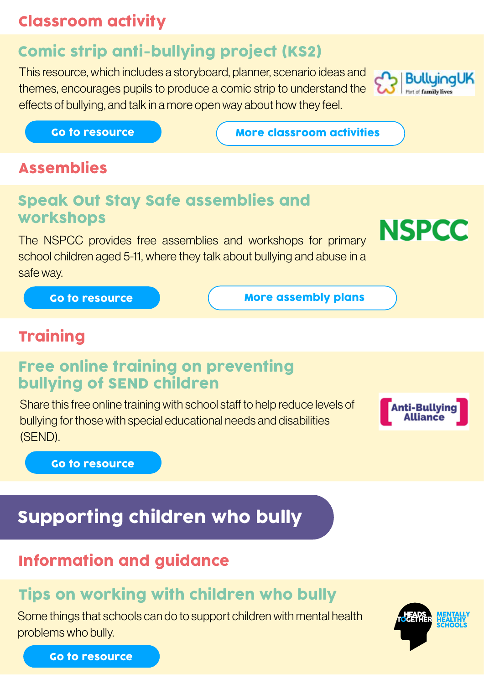#### Classroom activity

## Comic strip anti-bullying project (KS2)

This resource, which includes a storyboard, planner, scenario ideas and themes, encourages pupils to produce a comic strip to understand the effects of bullying, and talk in a more open way about how they feel.



**NSPCC** 

**Anti-Bullving** 

[Go to resource](https://www.mentallyhealthyschools.org.uk/resources/comic-strip-anti-bullying-project?pdf=anti-bullying-toolkit) Go to resource

[More classroom activities](https://www.mentallyhealthyschools.org.uk/resources/?ResourceType=ClassroomActivities?pdf=anti-bullying-toolkit)

#### Assemblies

#### Speak Out Stay Safe assemblies and workshops

The NSPCC provides free assemblies and workshops for primary school children aged 5-11, where they talk about bullying and abuse in a safe way.

[Go to resource](https://www.mentallyhealthyschools.org.uk/resources/speak-out-stay-safe?pdf=anti-bullying-toolkit)

[More assembly plans](https://www.mentallyhealthyschools.org.uk/resources/?ResourceType=AssemblyPlans?pdf=anti-bullying-toolkit)

#### **Training**

#### Free online training on preventing bullying of SEND children

Share this free online training with school staff to help reduce levels of bullying for those with special educational needs and disabilities (SEND).

[Go to resource](https://www.mentallyhealthyschools.org.uk/resources/online-training-on-preventing-bullying-of-send-children?pdf=anti-bullying-toolkit)

## Supporting children who bully

#### Information and guidance

### Tips on working with children who bully

Some things that schools can do to support children with mental health problems who bully.



[Go to resource](https://www.mentallyhealthyschools.org.uk/resources/tips-on-working-with-children-who-bully?pdf=anti-bullying-toolkit)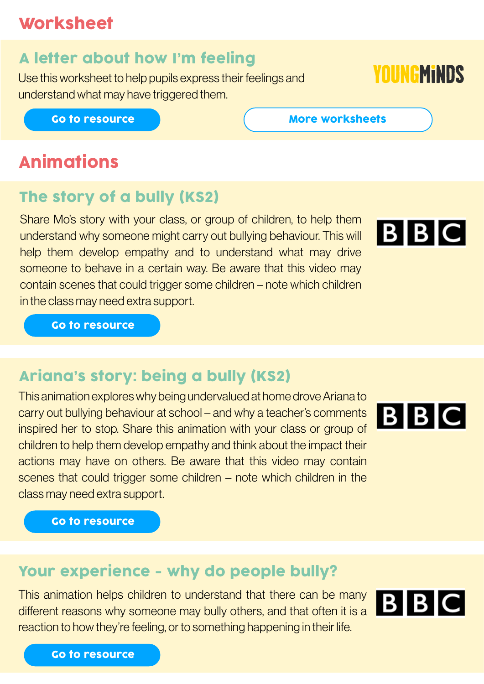### **Worksheet**

### A letter about how I'm feeling

Use this worksheet to help pupils express their feelings and understand what may have triggered them.

#### [Go to resource](https://www.mentallyhealthyschools.org.uk/resources/a-letter-about-how-im-feeling?pdf=anti-bullying-toolkit)

## Animations

#### The story of a bully (KS2)

Share Mo's story with your class, or group of children, to help them understand why someone might carry out bullying behaviour. This will help them develop empathy and to understand what may drive someone to behave in a certain way. Be aware that this video may contain scenes that could trigger some children – note which children in the class may need extra support.

[Go to resource](https://www.mentallyhealthyschools.org.uk/resources/the-story-of-a-bully?pdf=anti-bullying-toolkit)

### Ariana's story: being a bully (KS2)

This animation explores why being undervalued at home drove Ariana to carry out bullying behaviour at school – and why a teacher's comments inspired her to stop. Share this animation with your class or group of children to help them develop empathy and think about the impact their actions may have on others. Be aware that this video may contain scenes that could trigger some children – note which children in the class may need extra support.

[Go to resource](https://www.mentallyhealthyschools.org.uk/resources/the-story-of-a-bully?pdf=anti-bullying-toolkit)

#### Your experience - why do people bully?

This animation helps children to understand that there can be many different reasons why someone may bully others, and that often it is a reaction to how they're feeling, or to something happening in their life.





# **BIBIC**



# **YOUNGMINDS**

[More worksheets](https://www.mentallyhealthyschools.org.uk/resources/?SortBy=score&SearchTerm=worksheet?pdf=anti-bullying-toolkit)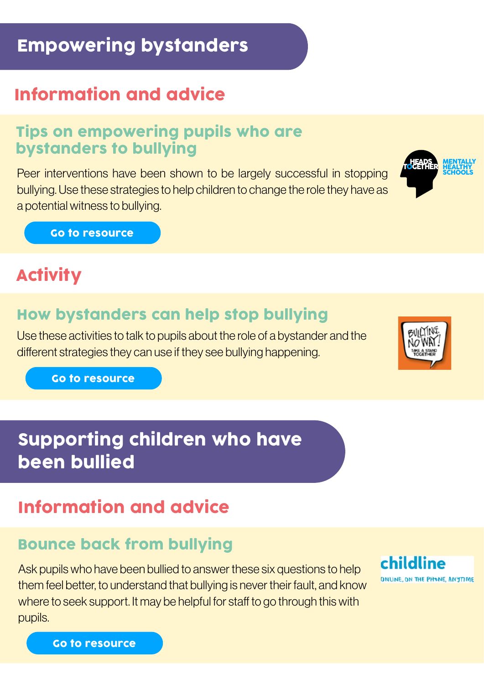## Empowering bystanders

## Information and advice

#### Tips on empowering pupils who are bystanders to bullying

Peer interventions have been shown to be largely successful in stopping bullying. Use these strategies to help children to change the role they have as a potential witness to bullying.

[Go to resource](https://www.mentallyhealthyschools.org.uk/resources/tips-on-empowering-pupils-who-are-bystanders-to-bullying?pdf=anti-bullying-toolkit)

## **Activity**

#### How bystanders can help stop bullying

Use these activities to talk to pupils about the role of a bystander and the different strategies they can use if they see bullying happening.

[Go to resource](https://www.mentallyhealthyschools.org.uk/resources/how-bystanders-can-help-to-stop-bullying?pdf=anti-bullying-toolkit)

## Supporting children who have been bullied

## Information and advice

#### Bounce back from bullying

Ask pupils who have been bullied to answer these six questions to help them feel better, to understand that bullying is never their fault, and know where to seek support. It may be helpful for staff to go through this with pupils.

[Go to resource](https://www.mentallyhealthyschools.org.uk/resources/bounce-back-after-bullying?pdf=anti-bullying-toolkit)



childline

ONLINE, ON THE PHONE, ANYTIME



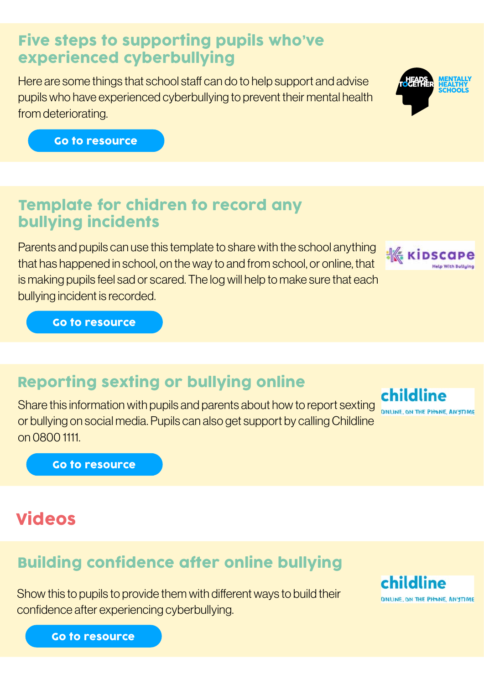#### Five steps to supporting pupils who've experienced cyberbullying

Here are some things that school staff can do to help support and advise pupils who have experienced cyberbullying to prevent their mental health from deteriorating.



#### Template for chidren to record any bullying incidents

Parents and pupils can use this template to share with the school anything that has happened in school, on the way to and from school, or online, that is making pupils feel sad or scared. The log will help to make sure that each bullying incident is recorded.

[Go to resource](https://www.mentallyhealthyschools.org.uk/resources/kidscape-log-helping-children-record-bullying-incidents?pdf=anti-bullying-toolkit)

## Reporting sexting or bullying online

Share this information with pupils and parents about how to report sexting or bullying on social media. Pupils can also get support by calling Childline on 0800 1111.

[Go to resource](https://www.mentallyhealthyschools.org.uk/resources/reporting-sexting-or-bullying-online?pdf=anti-bullying-toolkit)

## Videos

## Building confidence after online bullying

Show this to pupils to provide them with different ways to build their confidence after experiencing cyberbullying.

[Go to resource](https://www.mentallyhealthyschools.org.uk/resources/building-confidence-after-online-bullying?pdf=anti-bullying-toolkit)



: « кірsс



childline

**ONLINE ON THE PHONE ANYTIME** 

ONLINE, ON THE PHONE, ANYTIME